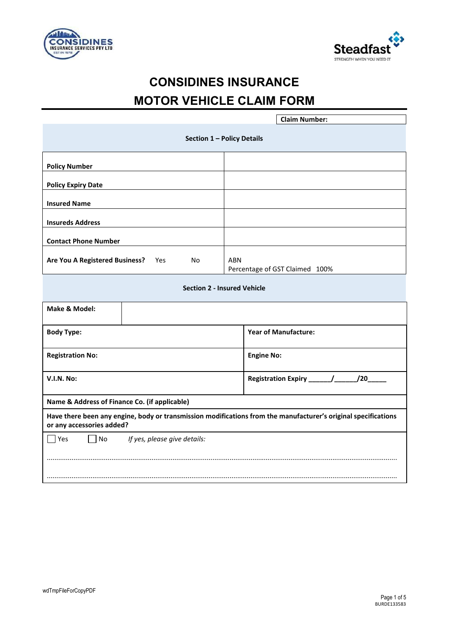



# **CONSIDINES INSURANCE MOTOR VEHICLE CLAIM FORM**

| <b>Claim Number:</b>                                                                                                                        |                                              |  |  |
|---------------------------------------------------------------------------------------------------------------------------------------------|----------------------------------------------|--|--|
| Section 1 - Policy Details                                                                                                                  |                                              |  |  |
| <b>Policy Number</b>                                                                                                                        |                                              |  |  |
| <b>Policy Expiry Date</b>                                                                                                                   |                                              |  |  |
| <b>Insured Name</b>                                                                                                                         |                                              |  |  |
| <b>Insureds Address</b>                                                                                                                     |                                              |  |  |
| <b>Contact Phone Number</b>                                                                                                                 |                                              |  |  |
| Are You A Registered Business?<br>Yes<br>No                                                                                                 | <b>ABN</b><br>Percentage of GST Claimed 100% |  |  |
|                                                                                                                                             | <b>Section 2 - Insured Vehicle</b>           |  |  |
| Make & Model:                                                                                                                               |                                              |  |  |
| <b>Body Type:</b>                                                                                                                           | <b>Year of Manufacture:</b>                  |  |  |
| <b>Registration No:</b>                                                                                                                     | <b>Engine No:</b>                            |  |  |
| <b>V.I.N. No:</b>                                                                                                                           | /20                                          |  |  |
| Name & Address of Finance Co. (if applicable)                                                                                               |                                              |  |  |
| Have there been any engine, body or transmission modifications from the manufacturer's original specifications<br>or any accessories added? |                                              |  |  |
| $\exists$ Yes<br><b>No</b><br>If yes, please give details:                                                                                  |                                              |  |  |
|                                                                                                                                             |                                              |  |  |
|                                                                                                                                             |                                              |  |  |
|                                                                                                                                             |                                              |  |  |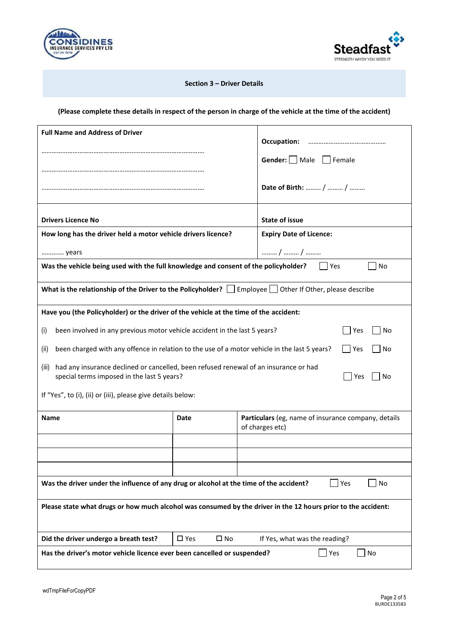



### **Section 3 – Driver Details**

## **(Please complete these details in respect of the person in charge of the vehicle at the time of the accident)**

| <b>Full Name and Address of Driver</b>                                                                                                                   |                               |  |                                                                        |  |
|----------------------------------------------------------------------------------------------------------------------------------------------------------|-------------------------------|--|------------------------------------------------------------------------|--|
|                                                                                                                                                          |                               |  | Occupation:                                                            |  |
|                                                                                                                                                          |                               |  | <b>Gender:</b> $\Box$ Male $\Box$ Female                               |  |
|                                                                                                                                                          |                               |  |                                                                        |  |
|                                                                                                                                                          |                               |  | Date of Birth:  /  /                                                   |  |
|                                                                                                                                                          |                               |  |                                                                        |  |
| <b>Drivers Licence No</b>                                                                                                                                |                               |  | <b>State of issue</b>                                                  |  |
| How long has the driver held a motor vehicle drivers licence?                                                                                            |                               |  | <b>Expiry Date of Licence:</b>                                         |  |
| years                                                                                                                                                    |                               |  | /  /                                                                   |  |
| Was the vehicle being used with the full knowledge and consent of the policyholder?<br>No<br>Yes                                                         |                               |  |                                                                        |  |
| What is the relationship of the Driver to the Policyholder? $\Box$ Employee $\Box$ Other If Other, please describe                                       |                               |  |                                                                        |  |
| Have you (the Policyholder) or the driver of the vehicle at the time of the accident:                                                                    |                               |  |                                                                        |  |
| been involved in any previous motor vehicle accident in the last 5 years?<br>(i)                                                                         |                               |  | No<br>Yes                                                              |  |
| been charged with any offence in relation to the use of a motor vehicle in the last 5 years?<br>Yes<br>(ii)<br>No                                        |                               |  |                                                                        |  |
|                                                                                                                                                          |                               |  |                                                                        |  |
| had any insurance declined or cancelled, been refused renewal of an insurance or had<br>(III)<br>special terms imposed in the last 5 years?<br>Yes<br>No |                               |  |                                                                        |  |
| If "Yes", to (i), (ii) or (iii), please give details below:                                                                                              |                               |  |                                                                        |  |
| <b>Name</b>                                                                                                                                              | Date                          |  | Particulars (eg, name of insurance company, details<br>of charges etc) |  |
|                                                                                                                                                          |                               |  |                                                                        |  |
|                                                                                                                                                          |                               |  |                                                                        |  |
|                                                                                                                                                          |                               |  |                                                                        |  |
| Was the driver under the influence of any drug or alcohol at the time of the accident?<br>Yes<br>No                                                      |                               |  |                                                                        |  |
| Please state what drugs or how much alcohol was consumed by the driver in the 12 hours prior to the accident:                                            |                               |  |                                                                        |  |
| Did the driver undergo a breath test?                                                                                                                    | $\square$ Yes<br>$\square$ No |  | If Yes, what was the reading?                                          |  |
| Has the driver's motor vehicle licence ever been cancelled or suspended?<br>Yes<br>No                                                                    |                               |  |                                                                        |  |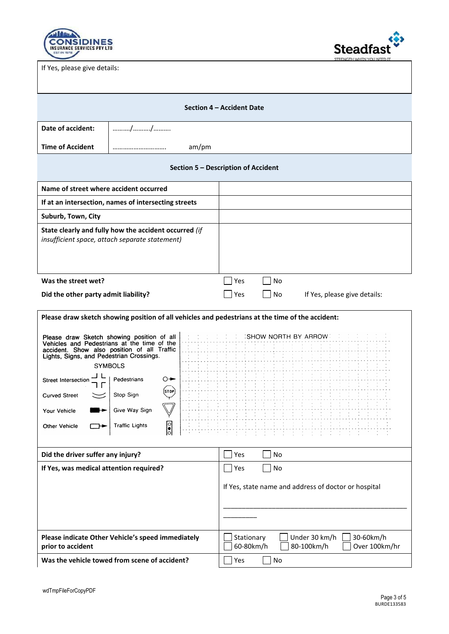

Steadfast

If Yes, please give details:

| Section 4 – Accident Date                                                                                                        |                                                                                                                                                                                                                                                                    |                                                                                                                            |  |
|----------------------------------------------------------------------------------------------------------------------------------|--------------------------------------------------------------------------------------------------------------------------------------------------------------------------------------------------------------------------------------------------------------------|----------------------------------------------------------------------------------------------------------------------------|--|
| Date of accident:                                                                                                                | //                                                                                                                                                                                                                                                                 |                                                                                                                            |  |
| <b>Time of Accident</b>                                                                                                          | am/pm                                                                                                                                                                                                                                                              |                                                                                                                            |  |
|                                                                                                                                  |                                                                                                                                                                                                                                                                    | Section 5 - Description of Accident                                                                                        |  |
| Name of street where accident occurred                                                                                           |                                                                                                                                                                                                                                                                    |                                                                                                                            |  |
|                                                                                                                                  | If at an intersection, names of intersecting streets                                                                                                                                                                                                               |                                                                                                                            |  |
| Suburb, Town, City                                                                                                               |                                                                                                                                                                                                                                                                    |                                                                                                                            |  |
|                                                                                                                                  | State clearly and fully how the accident occurred (if<br>insufficient space, attach separate statement)                                                                                                                                                            |                                                                                                                            |  |
| Was the street wet?                                                                                                              |                                                                                                                                                                                                                                                                    | No<br>Yes                                                                                                                  |  |
| Did the other party admit liability?<br>Yes<br>No<br>If Yes, please give details:                                                |                                                                                                                                                                                                                                                                    |                                                                                                                            |  |
| Lights, Signs, and Pedestrian Crossings.<br>Street Intersection<br><b>Curved Street</b><br>Your Vehicle<br>Other Vehicle         | Please draw Sketch showing position of all<br>Vehicles and Pedestrians at the time of the<br>accident. Show also position of all Traffic<br><b>SYMBOLS</b><br>Pedestrians<br>O→<br>(STOP)<br>Stop Sign<br>Give Way Sign<br>o<br><b>Traffic Lights</b><br>$ \cdot $ | Please draw sketch showing position of all vehicles and pedestrians at the time of the accident:<br>: SHOW NORTH BY ARROW: |  |
| Did the driver suffer any injury?                                                                                                |                                                                                                                                                                                                                                                                    | No<br>Yes<br>$\sim$                                                                                                        |  |
| If Yes, was medical attention required?<br>  Yes<br>If Yes, state name and address of doctor or hospital                         |                                                                                                                                                                                                                                                                    | $\Box$ No                                                                                                                  |  |
| Please indicate Other Vehicle's speed immediately<br>Under 30 km/h<br>Stationary<br>80-100km/h<br>60-80km/h<br>prior to accident |                                                                                                                                                                                                                                                                    | 30-60km/h<br>Over 100km/hr                                                                                                 |  |
|                                                                                                                                  | Was the vehicle towed from scene of accident?                                                                                                                                                                                                                      | No<br>Yes                                                                                                                  |  |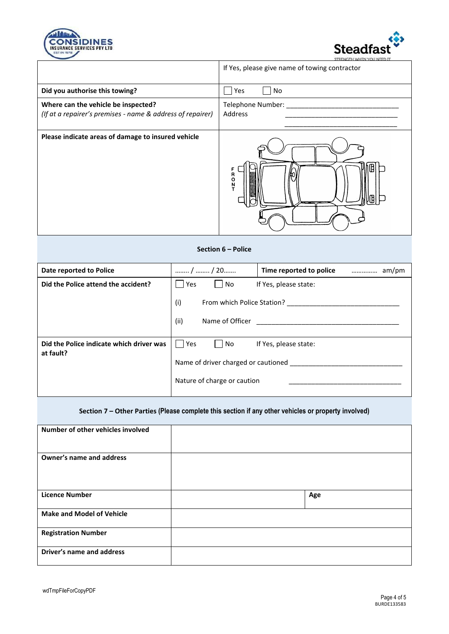



|                                                                                                   | If Yes, please give name of towing contractor |
|---------------------------------------------------------------------------------------------------|-----------------------------------------------|
| Did you authorise this towing?                                                                    | Yes<br>No                                     |
| Where can the vehicle be inspected?<br>(If at a repairer's premises - name & address of repairer) | Telephone Number:<br>Address                  |
| Please indicate areas of damage to insured vehicle                                                | R<br>O<br>N                                   |

#### **Section 6 – Police**

| Date reported to Police                               | /  / 20                             | Time reported to police |  |
|-------------------------------------------------------|-------------------------------------|-------------------------|--|
| Did the Police attend the accident?                   | Yes<br>l No                         | If Yes, please state:   |  |
|                                                       | (i)<br>From which Police Station?   |                         |  |
|                                                       | (ii)<br>Name of Officer             |                         |  |
| Did the Police indicate which driver was<br>at fault? | Yes<br>No                           | If Yes, please state:   |  |
|                                                       | Name of driver charged or cautioned |                         |  |
|                                                       | Nature of charge or caution         |                         |  |

## **Section 7 – Other Parties (Please complete this section if any other vehicles or property involved)**

| Number of other vehicles involved |     |
|-----------------------------------|-----|
| Owner's name and address          |     |
| <b>Licence Number</b>             | Age |
| <b>Make and Model of Vehicle</b>  |     |
| <b>Registration Number</b>        |     |
| Driver's name and address         |     |